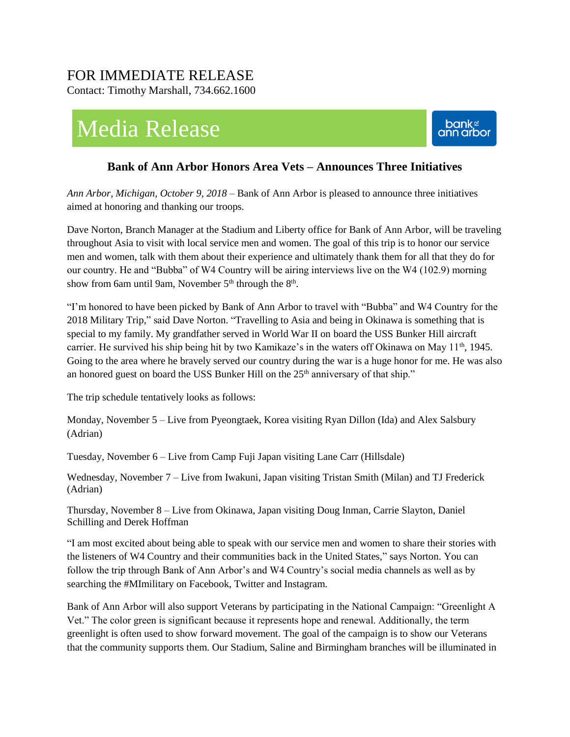## FOR IMMEDIATE RELEASE

Contact: Timothy Marshall, 734.662.1600

## Media Release



## **Bank of Ann Arbor Honors Area Vets – Announces Three Initiatives**

*Ann Arbor, Michigan, October 9, 2018* – Bank of Ann Arbor is pleased to announce three initiatives aimed at honoring and thanking our troops.

Dave Norton, Branch Manager at the Stadium and Liberty office for Bank of Ann Arbor, will be traveling throughout Asia to visit with local service men and women. The goal of this trip is to honor our service men and women, talk with them about their experience and ultimately thank them for all that they do for our country. He and "Bubba" of W4 Country will be airing interviews live on the W4 (102.9) morning show from 6am until 9am, November  $5<sup>th</sup>$  through the  $8<sup>th</sup>$ .

"I'm honored to have been picked by Bank of Ann Arbor to travel with "Bubba" and W4 Country for the 2018 Military Trip," said Dave Norton. "Travelling to Asia and being in Okinawa is something that is special to my family. My grandfather served in World War II on board the USS Bunker Hill aircraft carrier. He survived his ship being hit by two Kamikaze's in the waters off Okinawa on May  $11<sup>th</sup>$ , 1945. Going to the area where he bravely served our country during the war is a huge honor for me. He was also an honored guest on board the USS Bunker Hill on the  $25<sup>th</sup>$  anniversary of that ship."

The trip schedule tentatively looks as follows:

Monday, November 5 – Live from Pyeongtaek, Korea visiting Ryan Dillon (Ida) and Alex Salsbury (Adrian)

Tuesday, November 6 – Live from Camp Fuji Japan visiting Lane Carr (Hillsdale)

Wednesday, November 7 – Live from Iwakuni, Japan visiting Tristan Smith (Milan) and TJ Frederick (Adrian)

Thursday, November 8 – Live from Okinawa, Japan visiting Doug Inman, Carrie Slayton, Daniel Schilling and Derek Hoffman

"I am most excited about being able to speak with our service men and women to share their stories with the listeners of W4 Country and their communities back in the United States," says Norton. You can follow the trip through Bank of Ann Arbor's and W4 Country's social media channels as well as by searching the #MImilitary on Facebook, Twitter and Instagram.

Bank of Ann Arbor will also support Veterans by participating in the National Campaign: "Greenlight A Vet." The color green is significant because it represents hope and renewal. Additionally, the term greenlight is often used to show forward movement. The goal of the campaign is to show our Veterans that the community supports them. Our Stadium, Saline and Birmingham branches will be illuminated in